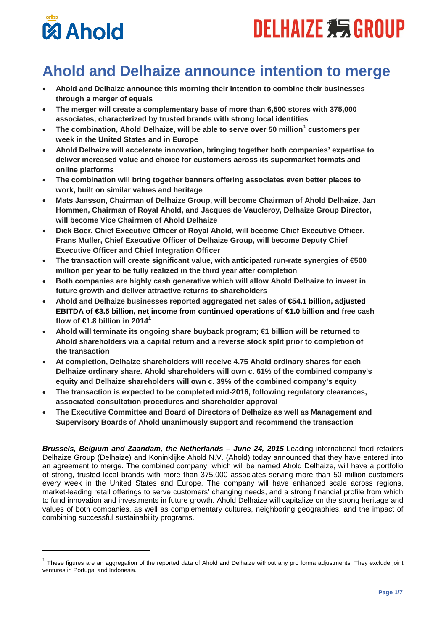# **DELHAIZE 355 GROUP**



-

# **Ahold and Delhaize announce intention to merge**

- **Ahold and Delhaize announce this morning their intention to combine their businesses through a merger of equals**
- **The merger will create a complementary base of more than 6,500 stores with 375,000 associates, characterized by trusted brands with strong local identities**
- **The combination, Ahold Delhaize, will be able to serve over 50 million[1](#page-0-0) customers per week in the United States and in Europe**
- **Ahold Delhaize will accelerate innovation, bringing together both companies' expertise to deliver increased value and choice for customers across its supermarket formats and online platforms**
- **The combination will bring together banners offering associates even better places to work, built on similar values and heritage**
- **Mats Jansson, Chairman of Delhaize Group, will become Chairman of Ahold Delhaize. Jan Hommen, Chairman of Royal Ahold, and Jacques de Vaucleroy, Delhaize Group Director, will become Vice Chairmen of Ahold Delhaize**
- **Dick Boer, Chief Executive Officer of Royal Ahold, will become Chief Executive Officer. Frans Muller, Chief Executive Officer of Delhaize Group, will become Deputy Chief Executive Officer and Chief Integration Officer**
- **The transaction will create significant value, with anticipated run-rate synergies of €500 million per year to be fully realized in the third year after completion**
- **Both companies are highly cash generative which will allow Ahold Delhaize to invest in future growth and deliver attractive returns to shareholders**
- **Ahold and Delhaize businesses reported aggregated net sales of €54.1 billion, adjusted EBITDA of €3.5 billion, net income from continued operations of €1.0 billion and free cash**  flow of  $\in$ 1.8 billion in 2014<sup>1</sup>
- **Ahold will terminate its ongoing share buyback program; €1 billion will be returned to Ahold shareholders via a capital return and a reverse stock split prior to completion of the transaction**
- **At completion, Delhaize shareholders will receive 4.75 Ahold ordinary shares for each Delhaize ordinary share. Ahold shareholders will own c. 61% of the combined company's equity and Delhaize shareholders will own c. 39% of the combined company's equity**
- **The transaction is expected to be completed mid-2016, following regulatory clearances, associated consultation procedures and shareholder approval**
- **The Executive Committee and Board of Directors of Delhaize as well as Management and Supervisory Boards of Ahold unanimously support and recommend the transaction**

*Brussels, Belgium and Zaandam, the Netherlands – June 24, 2015* Leading international food retailers Delhaize Group (Delhaize) and Koninklijke Ahold N.V. (Ahold) today announced that they have entered into an agreement to merge. The combined company, which will be named Ahold Delhaize, will have a portfolio of strong, trusted local brands with more than 375,000 associates serving more than 50 million customers every week in the United States and Europe. The company will have enhanced scale across regions, market-leading retail offerings to serve customers' changing needs, and a strong financial profile from which to fund innovation and investments in future growth. Ahold Delhaize will capitalize on the strong heritage and values of both companies, as well as complementary cultures, neighboring geographies, and the impact of combining successful sustainability programs.

<span id="page-0-0"></span><sup>&</sup>lt;sup>1</sup> These figures are an aggregation of the reported data of Ahold and Delhaize without any pro forma adjustments. They exclude joint ventures in Portugal and Indonesia.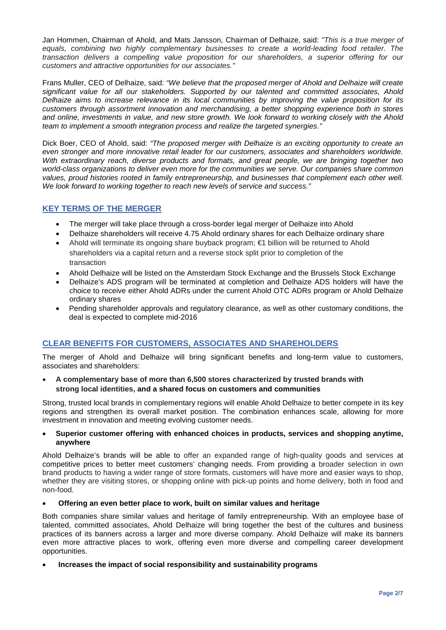Jan Hommen, Chairman of Ahold, and Mats Jansson, Chairman of Delhaize, said: *"This is a true merger of equals, combining two highly complementary businesses to create a world-leading food retailer. The transaction delivers a compelling value proposition for our shareholders, a superior offering for our customers and attractive opportunities for our associates."*

Frans Muller, CEO of Delhaize, said: *"We believe that the proposed merger of Ahold and Delhaize will create significant value for all our stakeholders. Supported by our talented and committed associates, Ahold Delhaize aims to increase relevance in its local communities by improving the value proposition for its customers through assortment innovation and merchandising, a better shopping experience both in stores and online, investments in value, and new store growth. We look forward to working closely with the Ahold team to implement a smooth integration process and realize the targeted synergies."*

Dick Boer, CEO of Ahold, said: *"The proposed merger with Delhaize is an exciting opportunity to create an even stronger and more innovative retail leader for our customers, associates and shareholders worldwide. With extraordinary reach, diverse products and formats, and great people, we are bringing together two world-class organizations to deliver even more for the communities we serve. Our companies share common values, proud histories rooted in family entrepreneurship, and businesses that complement each other well. We look forward to working together to reach new levels of service and success."*

# **KEY TERMS OF THE MERGER**

- The merger will take place through a cross-border legal merger of Delhaize into Ahold
- Delhaize shareholders will receive 4.75 Ahold ordinary shares for each Delhaize ordinary share
- Ahold will terminate its ongoing share buyback program; €1 billion will be returned to Ahold shareholders via a capital return and a reverse stock split prior to completion of the transaction
- Ahold Delhaize will be listed on the Amsterdam Stock Exchange and the Brussels Stock Exchange
- Delhaize's ADS program will be terminated at completion and Delhaize ADS holders will have the choice to receive either Ahold ADRs under the current Ahold OTC ADRs program or Ahold Delhaize ordinary shares
- Pending shareholder approvals and regulatory clearance, as well as other customary conditions, the deal is expected to complete mid-2016

# **CLEAR BENEFITS FOR CUSTOMERS, ASSOCIATES AND SHAREHOLDERS**

The merger of Ahold and Delhaize will bring significant benefits and long-term value to customers, associates and shareholders:

• **A complementary base of more than 6,500 stores characterized by trusted brands with strong local identities, and a shared focus on customers and communities**

Strong, trusted local brands in complementary regions will enable Ahold Delhaize to better compete in its key regions and strengthen its overall market position. The combination enhances scale, allowing for more investment in innovation and meeting evolving customer needs.

#### • **Superior customer offering with enhanced choices in products, services and shopping anytime, anywhere**

Ahold Delhaize's brands will be able to offer an expanded range of high-quality goods and services at competitive prices to better meet customers' changing needs. From providing a broader selection in own brand products to having a wider range of store formats, customers will have more and easier ways to shop, whether they are visiting stores, or shopping online with pick-up points and home delivery, both in food and non-food.

#### • **Offering an even better place to work, built on similar values and heritage**

Both companies share similar values and heritage of family entrepreneurship. With an employee base of talented, committed associates, Ahold Delhaize will bring together the best of the cultures and business practices of its banners across a larger and more diverse company. Ahold Delhaize will make its banners even more attractive places to work, offering even more diverse and compelling career development opportunities.

#### • **Increases the impact of social responsibility and sustainability programs**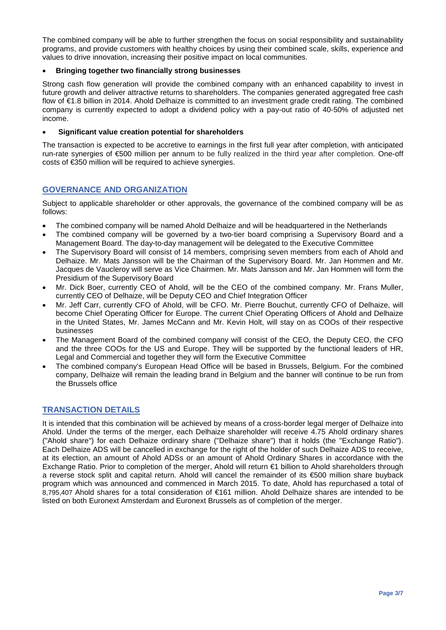The combined company will be able to further strengthen the focus on social responsibility and sustainability programs, and provide customers with healthy choices by using their combined scale, skills, experience and values to drive innovation, increasing their positive impact on local communities.

#### • **Bringing together two financially strong businesses**

Strong cash flow generation will provide the combined company with an enhanced capability to invest in future growth and deliver attractive returns to shareholders. The companies generated aggregated free cash flow of €1.8 billion in 2014. Ahold Delhaize is committed to an investment grade credit rating. The combined company is currently expected to adopt a dividend policy with a pay-out ratio of 40-50% of adjusted net income.

#### • **Significant value creation potential for shareholders**

The transaction is expected to be accretive to earnings in the first full year after completion, with anticipated run-rate synergies of €500 million per annum to be fully realized in the third year after completion. One-off costs of €350 million will be required to achieve synergies.

### **GOVERNANCE AND ORGANIZATION**

Subject to applicable shareholder or other approvals, the governance of the combined company will be as follows:

- The combined company will be named Ahold Delhaize and will be headquartered in the Netherlands
- The combined company will be governed by a two-tier board comprising a Supervisory Board and a Management Board. The day-to-day management will be delegated to the Executive Committee
- The Supervisory Board will consist of 14 members, comprising seven members from each of Ahold and Delhaize. Mr. Mats Jansson will be the Chairman of the Supervisory Board. Mr. Jan Hommen and Mr. Jacques de Vaucleroy will serve as Vice Chairmen. Mr. Mats Jansson and Mr. Jan Hommen will form the Presidium of the Supervisory Board
- Mr. Dick Boer, currently CEO of Ahold, will be the CEO of the combined company. Mr. Frans Muller, currently CEO of Delhaize, will be Deputy CEO and Chief Integration Officer
- Mr. Jeff Carr, currently CFO of Ahold, will be CFO. Mr. Pierre Bouchut, currently CFO of Delhaize, will become Chief Operating Officer for Europe. The current Chief Operating Officers of Ahold and Delhaize in the United States, Mr. James McCann and Mr. Kevin Holt, will stay on as COOs of their respective businesses
- The Management Board of the combined company will consist of the CEO, the Deputy CEO, the CFO and the three COOs for the US and Europe. They will be supported by the functional leaders of HR, Legal and Commercial and together they will form the Executive Committee
- The combined company's European Head Office will be based in Brussels, Belgium. For the combined company, Delhaize will remain the leading brand in Belgium and the banner will continue to be run from the Brussels office

# **TRANSACTION DETAILS**

It is intended that this combination will be achieved by means of a cross-border legal merger of Delhaize into Ahold. Under the terms of the merger, each Delhaize shareholder will receive 4.75 Ahold ordinary shares ("Ahold share") for each Delhaize ordinary share ("Delhaize share") that it holds (the "Exchange Ratio"). Each Delhaize ADS will be cancelled in exchange for the right of the holder of such Delhaize ADS to receive, at its election, an amount of Ahold ADSs or an amount of Ahold Ordinary Shares in accordance with the Exchange Ratio. Prior to completion of the merger, Ahold will return €1 billion to Ahold shareholders through a reverse stock split and capital return. Ahold will cancel the remainder of its €500 million share buyback program which was announced and commenced in March 2015. To date, Ahold has repurchased a total of 8,795,407 Ahold shares for a total consideration of €161 million. Ahold Delhaize shares are intended to be listed on both Euronext Amsterdam and Euronext Brussels as of completion of the merger.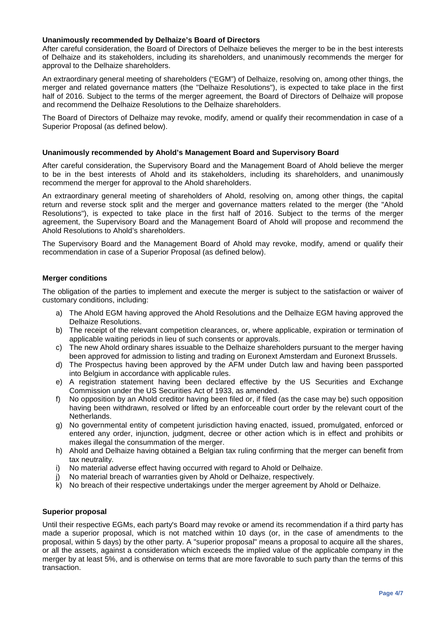#### **Unanimously recommended by Delhaize's Board of Directors**

After careful consideration, the Board of Directors of Delhaize believes the merger to be in the best interests of Delhaize and its stakeholders, including its shareholders, and unanimously recommends the merger for approval to the Delhaize shareholders.

An extraordinary general meeting of shareholders ("EGM") of Delhaize, resolving on, among other things, the merger and related governance matters (the "Delhaize Resolutions"), is expected to take place in the first half of 2016. Subject to the terms of the merger agreement, the Board of Directors of Delhaize will propose and recommend the Delhaize Resolutions to the Delhaize shareholders.

The Board of Directors of Delhaize may revoke, modify, amend or qualify their recommendation in case of a Superior Proposal (as defined below).

#### **Unanimously recommended by Ahold's Management Board and Supervisory Board**

After careful consideration, the Supervisory Board and the Management Board of Ahold believe the merger to be in the best interests of Ahold and its stakeholders, including its shareholders, and unanimously recommend the merger for approval to the Ahold shareholders.

An extraordinary general meeting of shareholders of Ahold, resolving on, among other things, the capital return and reverse stock split and the merger and governance matters related to the merger (the "Ahold Resolutions"), is expected to take place in the first half of 2016. Subject to the terms of the merger agreement, the Supervisory Board and the Management Board of Ahold will propose and recommend the Ahold Resolutions to Ahold's shareholders.

The Supervisory Board and the Management Board of Ahold may revoke, modify, amend or qualify their recommendation in case of a Superior Proposal (as defined below).

#### **Merger conditions**

The obligation of the parties to implement and execute the merger is subject to the satisfaction or waiver of customary conditions, including:

- a) The Ahold EGM having approved the Ahold Resolutions and the Delhaize EGM having approved the Delhaize Resolutions.
- b) The receipt of the relevant competition clearances, or, where applicable, expiration or termination of applicable waiting periods in lieu of such consents or approvals.
- c) The new Ahold ordinary shares issuable to the Delhaize shareholders pursuant to the merger having been approved for admission to listing and trading on Euronext Amsterdam and Euronext Brussels.
- d) The Prospectus having been approved by the AFM under Dutch law and having been passported into Belgium in accordance with applicable rules.
- e) A registration statement having been declared effective by the US Securities and Exchange Commission under the US Securities Act of 1933, as amended.
- f) No opposition by an Ahold creditor having been filed or, if filed (as the case may be) such opposition having been withdrawn, resolved or lifted by an enforceable court order by the relevant court of the Netherlands.
- g) No governmental entity of competent jurisdiction having enacted, issued, promulgated, enforced or entered any order, injunction, judgment, decree or other action which is in effect and prohibits or makes illegal the consummation of the merger.
- h) Ahold and Delhaize having obtained a Belgian tax ruling confirming that the merger can benefit from tax neutrality.
- i) No material adverse effect having occurred with regard to Ahold or Delhaize.
- j) No material breach of warranties given by Ahold or Delhaize, respectively.
- k) No breach of their respective undertakings under the merger agreement by Ahold or Delhaize.

#### **Superior proposal**

Until their respective EGMs, each party's Board may revoke or amend its recommendation if a third party has made a superior proposal, which is not matched within 10 days (or, in the case of amendments to the proposal, within 5 days) by the other party. A "superior proposal" means a proposal to acquire all the shares, or all the assets, against a consideration which exceeds the implied value of the applicable company in the merger by at least 5%, and is otherwise on terms that are more favorable to such party than the terms of this transaction.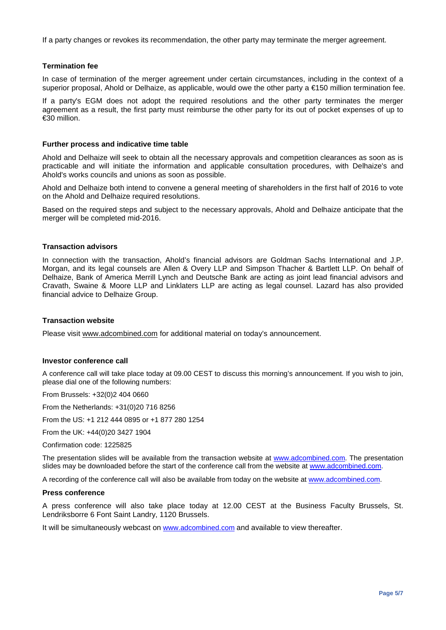If a party changes or revokes its recommendation, the other party may terminate the merger agreement.

#### **Termination fee**

In case of termination of the merger agreement under certain circumstances, including in the context of a superior proposal, Ahold or Delhaize, as applicable, would owe the other party a €150 million termination fee.

If a party's EGM does not adopt the required resolutions and the other party terminates the merger agreement as a result, the first party must reimburse the other party for its out of pocket expenses of up to €30 million.

#### **Further process and indicative time table**

Ahold and Delhaize will seek to obtain all the necessary approvals and competition clearances as soon as is practicable and will initiate the information and applicable consultation procedures, with Delhaize's and Ahold's works councils and unions as soon as possible.

Ahold and Delhaize both intend to convene a general meeting of shareholders in the first half of 2016 to vote on the Ahold and Delhaize required resolutions.

Based on the required steps and subject to the necessary approvals, Ahold and Delhaize anticipate that the merger will be completed mid-2016.

#### **Transaction advisors**

In connection with the transaction, Ahold's financial advisors are Goldman Sachs International and J.P. Morgan, and its legal counsels are Allen & Overy LLP and Simpson Thacher & Bartlett LLP. On behalf of Delhaize, Bank of America Merrill Lynch and Deutsche Bank are acting as joint lead financial advisors and Cravath, Swaine & Moore LLP and Linklaters LLP are acting as legal counsel. Lazard has also provided financial advice to Delhaize Group.

#### **Transaction website**

Please visit [www.adcombined.com](http://www.adcombined.com/) for additional material on today's announcement.

#### **Investor conference call**

A conference call will take place today at 09.00 CEST to discuss this morning's announcement. If you wish to join, please dial one of the following numbers:

From Brussels: +32(0)2 404 0660

From the Netherlands: +31(0)20 716 8256

From the US: +1 212 444 0895 or +1 877 280 1254

From the UK: +44(0)20 3427 1904

Confirmation code: 1225825

The presentation slides will be available from the transaction website at [www.adcombined.com.](http://www.adcombined.com/) The presentation slides may be downloaded before the start of the conference call from the website at [www.adcombined.com.](http://www.adcombined.com/)

A recording of the conference call will also be available from today on the website at [www.adcombined.com.](http://www.adcombined.com/)

#### **Press conference**

A press conference will also take place today at 12.00 CEST at the [Business Faculty Brussels,](http://www.businessfaculty.be/) St. Lendriksborre 6 Font Saint Landry, 1120 Brussels.

It will be simultaneously webcast on [www.adcombined.com](http://www.adcombined.com/) and available to view thereafter.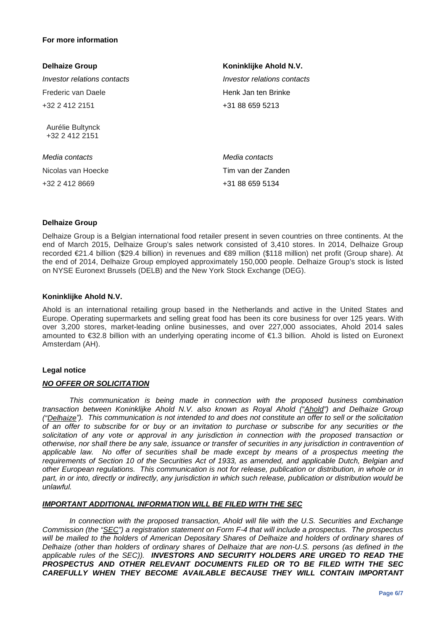#### **For more information**

| <b>Delhaize Group</b>              | Koninklijke Ahold N.V.             |
|------------------------------------|------------------------------------|
| Investor relations contacts        | <i>Investor relations contacts</i> |
| Frederic van Daele                 | Henk Jan ten Brinke                |
| +32 2 412 2151                     | +31 88 659 5213                    |
| Aurélie Bultynck<br>+32 2 412 2151 |                                    |
| Media contacts                     | Media contacts                     |
| Nicolas van Hoecke                 | Tim van der Zanden                 |
| +32 2 412 8669                     | +31 88 659 5134                    |

#### **Delhaize Group**

Delhaize Group is a Belgian international food retailer present in seven countries on three continents. At the end of March 2015, Delhaize Group's sales network consisted of 3,410 stores. In 2014, Delhaize Group recorded €21.4 billion (\$29.4 billion) in revenues and €89 million (\$118 million) net profit (Group share). At the end of 2014, Delhaize Group employed approximately 150,000 people. Delhaize Group's stock is listed on NYSE Euronext Brussels (DELB) and the New York Stock Exchange (DEG).

#### **Koninklijke Ahold N.V.**

Ahold is an international retailing group based in the Netherlands and active in the United States and Europe. Operating supermarkets and selling great food has been its core business for over 125 years. With over 3,200 stores, market-leading online businesses, and over 227,000 associates, Ahold 2014 sales amounted to €32.8 billion with an underlying operating income of €1.3 billion. Ahold is listed on Euronext Amsterdam (AH).

#### **Legal notice**

#### *NO OFFER OR SOLICITATION*

*This communication is being made in connection with the proposed business combination transaction between Koninklijke Ahold N.V. also known as Royal Ahold ("Ahold") and Delhaize Group ("Delhaize"). This communication is not intended to and does not constitute an offer to sell or the solicitation of an offer to subscribe for or buy or an invitation to purchase or subscribe for any securities or the*  solicitation of any vote or approval in any jurisdiction in connection with the proposed transaction or *otherwise, nor shall there be any sale, issuance or transfer of securities in any jurisdiction in contravention of applicable law. No offer of securities shall be made except by means of a prospectus meeting the requirements of Section 10 of the Securities Act of 1933, as amended, and applicable Dutch, Belgian and other European regulations. This communication is not for release, publication or distribution, in whole or in part, in or into, directly or indirectly, any jurisdiction in which such release, publication or distribution would be unlawful.*

#### *IMPORTANT ADDITIONAL INFORMATION WILL BE FILED WITH THE SEC*

In connection with the proposed transaction, Ahold will file with the U.S. Securities and Exchange *Commission (the "SEC") a registration statement on Form F-4 that will include a prospectus. The prospectus*  will be mailed to the holders of American Depositary Shares of Delhaize and holders of ordinary shares of *Delhaize (other than holders of ordinary shares of Delhaize that are non-U.S. persons (as defined in the applicable rules of the SEC)). INVESTORS AND SECURITY HOLDERS ARE URGED TO READ THE PROSPECTUS AND OTHER RELEVANT DOCUMENTS FILED OR TO BE FILED WITH THE SEC CAREFULLY WHEN THEY BECOME AVAILABLE BECAUSE THEY WILL CONTAIN IMPORTANT*